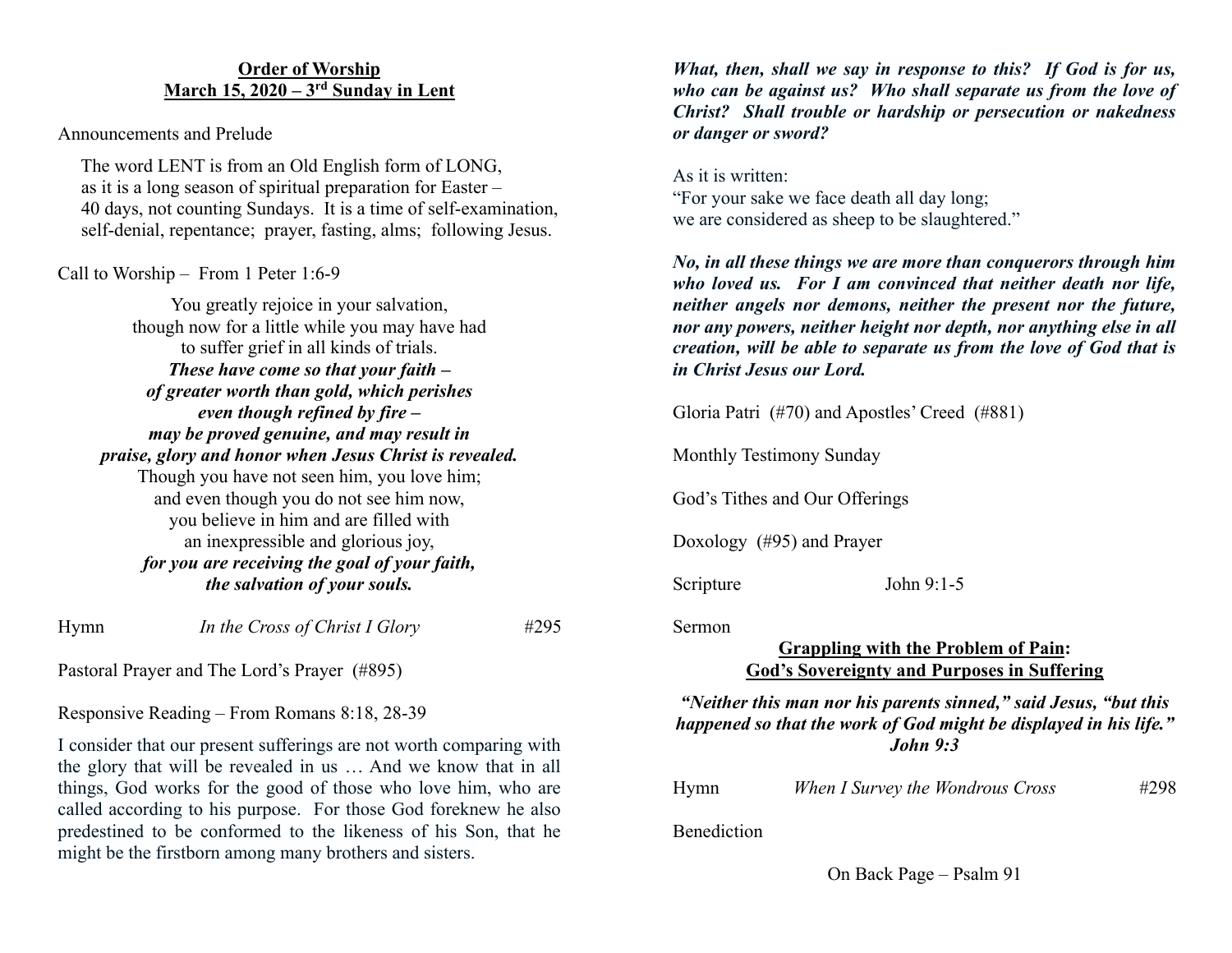## **Order of Worship March 15, 2020 – 3rd Sunday in Lent**

Announcements and Prelude

 The word LENT is from an Old English form of LONG, as it is a long season of spiritual preparation for Easter – 40 days, not counting Sundays. It is a time of self-examination, self-denial, repentance; prayer, fasting, alms; following Jesus.

# Call to Worship – From 1 Peter 1:6-9

You greatly rejoice in your salvation, though now for a little while you may have had to suffer grief in all kinds of trials. *These have come so that your faith – of greater worth than gold, which perishes even though refined by fire – may be proved genuine, and may result in praise, glory and honor when Jesus Christ is revealed.* Though you have not seen him, you love him; and even though you do not see him now, you believe in him and are filled with an inexpressible and glorious joy, *for you are receiving the goal of your faith, the salvation of your souls.*

Hymn *In the Cross of Christ I Glory* #295

Pastoral Prayer and The Lord's Prayer (#895)

Responsive Reading – From Romans 8:18, 28-39

I consider that our present sufferings are not worth comparing with the glory that will be revealed in us … And we know that in all things, God works for the good of those who love him, who are called according to his purpose. For those God foreknew he also predestined to be conformed to the likeness of his Son, that he might be the firstborn among many brothers and sisters.

*What, then, shall we say in response to this? If God is for us, who can be against us? Who shall separate us from the love of Christ? Shall trouble or hardship or persecution or nakedness or danger or sword?*

As it is written: "For your sake we face death all day long; we are considered as sheep to be slaughtered."

*No, in all these things we are more than conquerors through him who loved us. For I am convinced that neither death nor life, neither angels nor demons, neither the present nor the future, nor any powers, neither height nor depth, nor anything else in all creation, will be able to separate us from the love of God that is in Christ Jesus our Lord.* 

Gloria Patri (#70) and Apostles' Creed (#881)

Monthly Testimony Sunday

God's Tithes and Our Offerings

Doxology (#95) and Prayer

Scripture John 9:1-5

Sermon

# **Grappling with the Problem of Pain: God's Sovereignty and Purposes in Suffering**

*"Neither this man nor his parents sinned," said Jesus, "but this happened so that the work of God might be displayed in his life." John 9:3*

| Hymn | When I Survey the Wondrous Cross | #298 |
|------|----------------------------------|------|
|------|----------------------------------|------|

Benediction

On Back Page – Psalm 91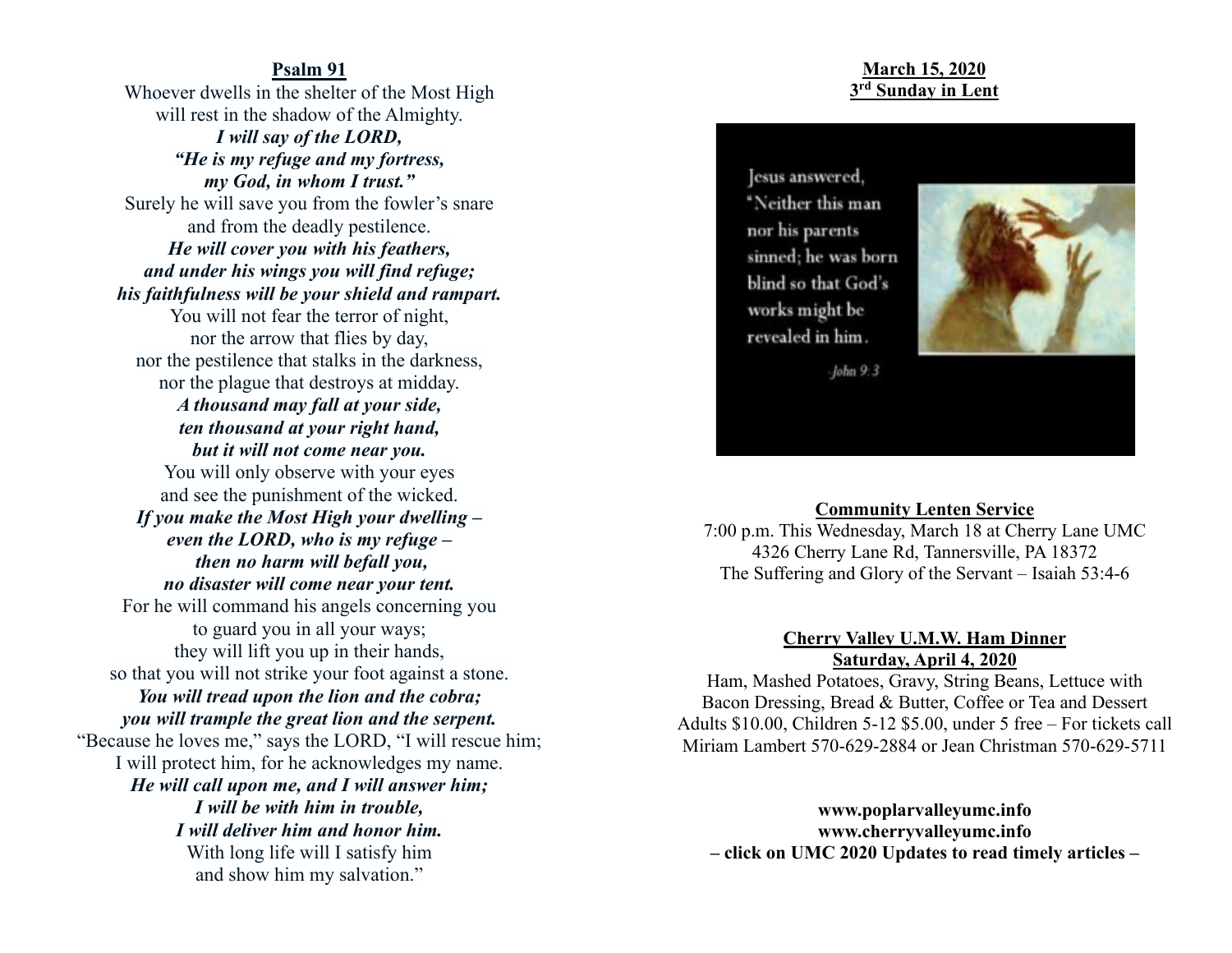#### **Psalm 91**

Whoever dwells in the shelter of the Most High will rest in the shadow of the Almighty. *I will say of the LORD, "He is my refuge and my fortress, my God, in whom I trust."* Surely he will save you from the fowler's snare and from the deadly pestilence. *He will cover you with his feathers, and under his wings you will find refuge; his faithfulness will be your shield and rampart.* You will not fear the terror of night, nor the arrow that flies by day, nor the pestilence that stalks in the darkness, nor the plague that destroys at midday. *A thousand may fall at your side, ten thousand at your right hand, but it will not come near you.* You will only observe with your eyes and see the punishment of the wicked. *If you make the Most High your dwelling – even the LORD, who is my refuge – then no harm will befall you, no disaster will come near your tent.* For he will command his angels concerning you to guard you in all your ways; they will lift you up in their hands, so that you will not strike your foot against a stone. *You will tread upon the lion and the cobra; you will trample the great lion and the serpent.* "Because he loves me," says the LORD, "I will rescue him; I will protect him, for he acknowledges my name. *He will call upon me, and I will answer him; I will be with him in trouble, I will deliver him and honor him.* With long life will I satisfy him and show him my salvation."

## **March 15, 2020 3rd Sunday in Lent**

lesus answered. "Neither this man nor his parents sinned; he was born blind so that God's works might be revealed in him.



 $-John 9.3$ 

#### **Community Lenten Service**

7:00 p.m. This Wednesday, March 18 at Cherry Lane UMC 4326 Cherry Lane Rd, Tannersville, PA 18372 The Suffering and Glory of the Servant – Isaiah 53:4-6

## **Cherry Valley U.M.W. Ham Dinner Saturday, April 4, 2020**

Ham, Mashed Potatoes, Gravy, String Beans, Lettuce with Bacon Dressing, Bread & Butter, Coffee or Tea and Dessert Adults \$10.00, Children 5-12 \$5.00, under 5 free – For tickets call Miriam Lambert 570-629-2884 or Jean Christman 570-629-5711

**www.poplarvalleyumc.info www.cherryvalleyumc.info – click on UMC 2020 Updates to read timely articles –**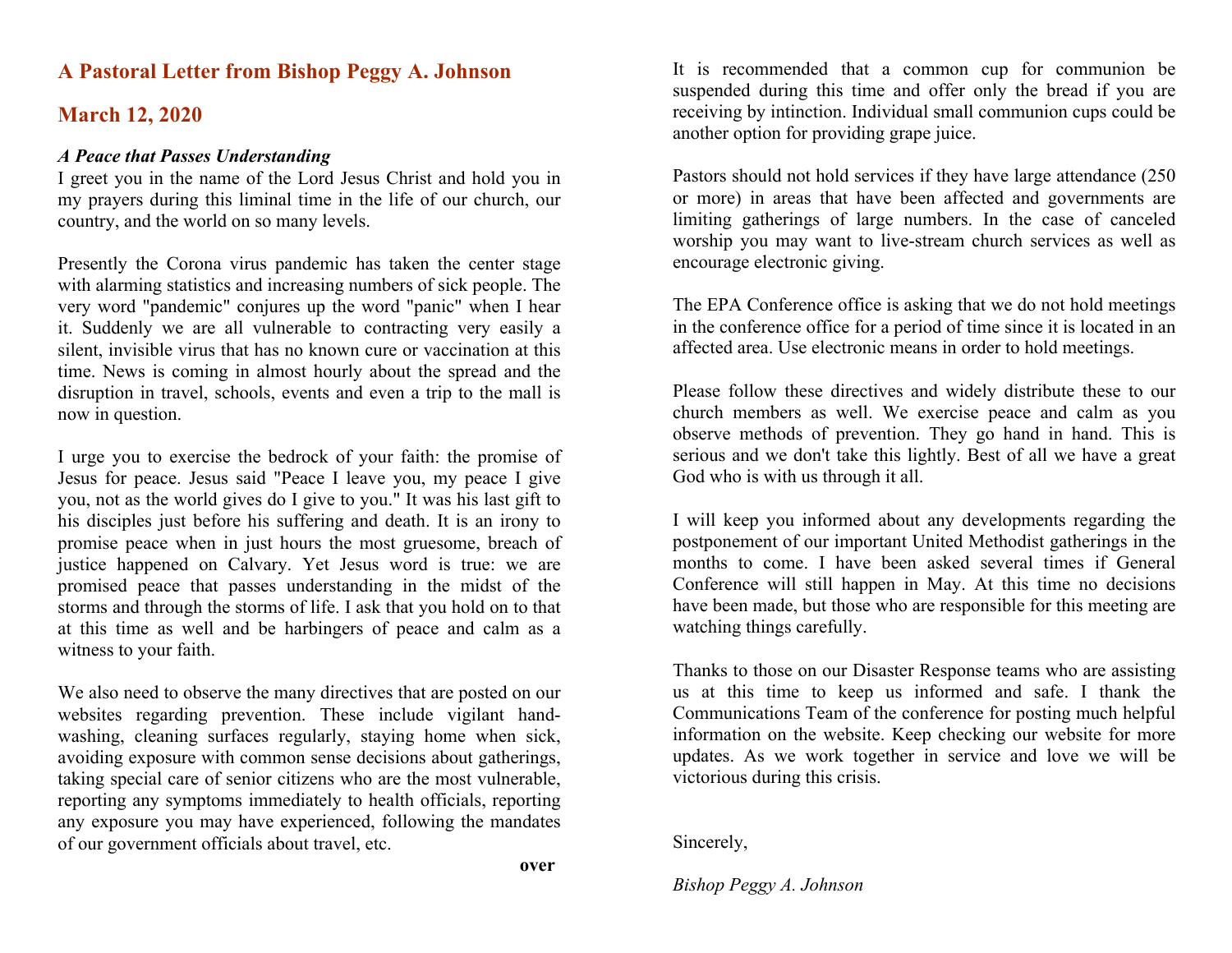# **A Pastoral Letter from Bishop Peggy A. Johnson**

# **March 12, 2020**

### *A Peace that Passes Understanding*

I greet you in the name of the Lord Jesus Christ and hold you in my prayers during this liminal time in the life of our church, our country, and the world on so many levels.

Presently the Corona virus pandemic has taken the center stage with alarming statistics and increasing numbers of sick people. The very word "pandemic" conjures up the word "panic" when I hear it. Suddenly we are all vulnerable to contracting very easily a silent, invisible virus that has no known cure or vaccination at this time. News is coming in almost hourly about the spread and the disruption in travel, schools, events and even a trip to the mall is now in question.

I urge you to exercise the bedrock of your faith: the promise of Jesus for peace. Jesus said "Peace I leave you, my peace I give you, not as the world gives do I give to you." It was his last gift to his disciples just before his suffering and death. It is an irony to promise peace when in just hours the most gruesome, breach of justice happened on Calvary. Yet Jesus word is true: we are promised peace that passes understanding in the midst of the storms and through the storms of life. I ask that you hold on to that at this time as well and be harbingers of peace and calm as a witness to your faith.

We also need to observe the many directives that are posted on our websites regarding prevention. These include vigilant handwashing, cleaning surfaces regularly, staying home when sick, avoiding exposure with common sense decisions about gatherings, taking special care of senior citizens who are the most vulnerable, reporting any symptoms immediately to health officials, reporting any exposure you may have experienced, following the mandates of our government officials about travel, etc.

It is recommended that a common cup for communion be suspended during this time and offer only the bread if you are receiving by intinction. Individual small communion cups could be another option for providing grape juice.

Pastors should not hold services if they have large attendance (250 or more) in areas that have been affected and governments are limiting gatherings of large numbers. In the case of canceled worship you may want to live-stream church services as well as encourage electronic giving.

The EPA Conference office is asking that we do not hold meetings in the conference office for a period of time since it is located in an affected area. Use electronic means in order to hold meetings.

Please follow these directives and widely distribute these to our church members as well. We exercise peace and calm as you observe methods of prevention. They go hand in hand. This is serious and we don't take this lightly. Best of all we have a great God who is with us through it all.

I will keep you informed about any developments regarding the postponement of our important United Methodist gatherings in the months to come. I have been asked several times if General Conference will still happen in May. At this time no decisions have been made, but those who are responsible for this meeting are watching things carefully.

Thanks to those on our Disaster Response teams who are assisting us at this time to keep us informed and safe. I thank the Communications Team of the conference for posting much helpful information on the website. Keep checking our website for more updates. As we work together in service and love we will be victorious during this crisis.

Sincerely,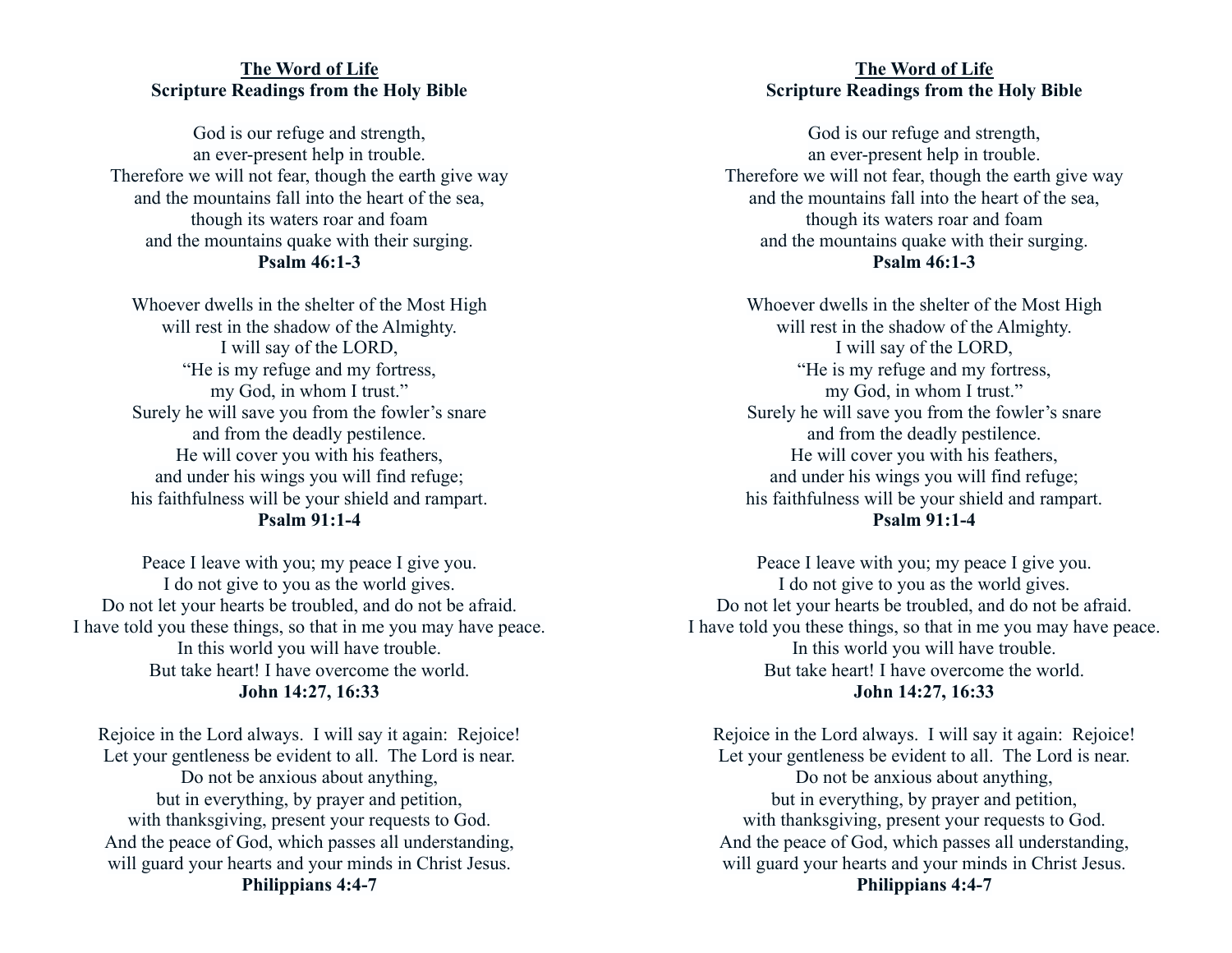## **The Word of Life Scripture Readings from the Holy Bible**

God is our refuge and strength, an ever-present help in trouble. Therefore we will not fear, though the earth give way and the mountains fall into the heart of the sea, though its waters roar and foam and the mountains quake with their surging. **Psalm 46:1-3**

Whoever dwells in the shelter of the Most High will rest in the shadow of the Almighty. I will say of the LORD, "He is my refuge and my fortress, my God, in whom I trust." Surely he will save you from the fowler's snare and from the deadly pestilence. He will cover you with his feathers, and under his wings you will find refuge; his faithfulness will be your shield and rampart. **Psalm 91:1-4**

Peace I leave with you; my peace I give you. I do not give to you as the world gives. Do not let your hearts be troubled, and do not be afraid. I have told you these things, so that in me you may have peace. In this world you will have trouble. But take heart! I have overcome the world. **John 14:27, 16:33**

Rejoice in the Lord always. I will say it again: Rejoice! Let your gentleness be evident to all. The Lord is near. Do not be anxious about anything, but in everything, by prayer and petition, with thanksgiving, present your requests to God. And the peace of God, which passes all understanding, will guard your hearts and your minds in Christ Jesus. **Philippians 4:4-7**

## **The Word of Life Scripture Readings from the Holy Bible**

God is our refuge and strength, an ever-present help in trouble. Therefore we will not fear, though the earth give way and the mountains fall into the heart of the sea, though its waters roar and foam and the mountains quake with their surging. **Psalm 46:1-3**

Whoever dwells in the shelter of the Most High will rest in the shadow of the Almighty. I will say of the LORD, "He is my refuge and my fortress, my God, in whom I trust." Surely he will save you from the fowler's snare and from the deadly pestilence. He will cover you with his feathers, and under his wings you will find refuge; his faithfulness will be your shield and rampart. **Psalm 91:1-4**

Peace I leave with you; my peace I give you. I do not give to you as the world gives. Do not let your hearts be troubled, and do not be afraid. I have told you these things, so that in me you may have peace. In this world you will have trouble. But take heart! I have overcome the world. **John 14:27, 16:33**

Rejoice in the Lord always. I will say it again: Rejoice! Let your gentleness be evident to all. The Lord is near. Do not be anxious about anything, but in everything, by prayer and petition, with thanksgiving, present your requests to God. And the peace of God, which passes all understanding, will guard your hearts and your minds in Christ Jesus. **Philippians 4:4-7**